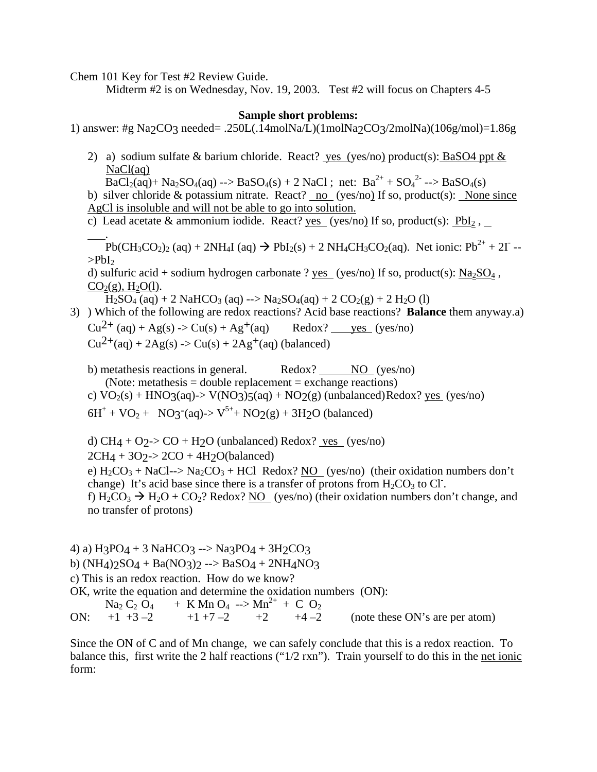Chem 101 Key for Test #2 Review Guide.

Midterm #2 is on Wednesday, Nov. 19, 2003. Test #2 will focus on Chapters 4-5

## **Sample short problems:**

1) answer: #g Na2CO3 needed= .250L(.14molNa/L)(1molNa2CO3/2molNa)(106g/mol)=1.86g

2) a) sodium sulfate & barium chloride. React? yes (yes/no) product(s): BaSO4 ppt  $\&$ NaCl(aq)

 $\overline{\text{BaCl}_2(\text{aq})}$ + Na<sub>2</sub>SO<sub>4</sub>(aq) --> BaSO<sub>4</sub>(s) + 2 NaCl; net: Ba<sup>2+</sup> + SO<sub>4</sub><sup>2-</sup> --> BaSO<sub>4</sub>(s) b) silver chloride & potassium nitrate. React? no (yes/no) If so, product(s): None since

AgCl is insoluble and will not be able to go into solution.

c) Lead acetate & ammonium iodide. React? yes (yes/no) If so, product(s):  $PbI_2$ ,

.  $\text{Pb}(\text{CH}_3\text{CO}_2)_2$  (aq) + 2NH<sub>4</sub>I (aq)  $\rightarrow$  PbI<sub>2</sub>(s) + 2 NH<sub>4</sub>CH<sub>3</sub>CO<sub>2</sub>(aq). Net ionic: Pb<sup>2+</sup> + 2I -- $>$ PbI $<sub>2</sub>$ </sub>

d) sulfuric acid + sodium hydrogen carbonate ? yes (yes/no) If so, product(s):  $Na_2SO_4$ ,  $CO<sub>2</sub>(g)$ , H<sub>2</sub>O(l).

 $H_2SO_4$  (aq) + 2 NaHCO<sub>3</sub> (aq) --> Na<sub>2</sub>SO<sub>4</sub>(aq) + 2 CO<sub>2</sub>(g) + 2 H<sub>2</sub>O (l)

3) ) Which of the following are redox reactions? Acid base reactions? **Balance** them anyway.a)  $Cu^{2+}$  (aq) + Ag(s) -> Cu(s) + Ag<sup>+</sup>(aq) Redox? ves (yes/no)  $Cu^{2+}(aq) + 2Ag(s) \rightarrow Cu(s) + 2Ag^{+}(aq)$  (balanced)

b) metathesis reactions in general. Redox? NO (yes/no) (Note: metathesis = double replacement = exchange reactions) c)  $\text{VO}_2(\text{s}) + \text{HNO}_3(\text{aq}) \rightarrow \text{V(NO}_3)5(\text{aq}) + \text{NO}_2(\text{g}) \text{ (unbalanced)}$  Redox? yes (yes/no)  $6H^+ + VO_2 + NO_3$ <sup>-</sup>(aq)->  $V^{5+} + NO_2(g) + 3H_2O$  (balanced)

d) CH4 + O2-> CO + H2O (unbalanced) Redox?  $ves (yes/no)$ </u>  $2CH_4 + 3O_2 > 2CO + 4H_2O(balanced)$ e)  $H_2CO_3 + NaCl \rightarrow Na_2CO_3 + HCl$  Redox? NO (yes/no) (their oxidation numbers don't change) It's acid base since there is a transfer of protons from  $H_2CO_3$  to Cl. f)  $H_2CO_3 \rightarrow H_2O + CO_2$ ? Redox? NO (yes/no) (their oxidation numbers don't change, and no transfer of protons)

4) a) H3PO4 + 3 NaHCO3 --> Na3PO4 + 3H2CO3 b) (NH4) $2SO_4 + Ba(NO_3)2 \rightarrow BaSO_4 + 2NH_4NO_3$ c) This is an redox reaction. How do we know? OK, write the equation and determine the oxidation numbers (ON):  $\text{Na}_2 \text{C}_2 \text{O}_4$  + K Mn O<sub>4</sub> --> Mn<sup>2+</sup> + C O<sub>2</sub><br>+1 +3 -2 +1 +7 -2 +2 +4 -2 ON:  $+1 +3 -2 +1 +7 -2 +2 +4 -2$  (note these ON's are per atom)

Since the ON of C and of Mn change, we can safely conclude that this is a redox reaction. To balance this, first write the 2 half reactions ("1/2 rxn"). Train yourself to do this in the net ionic form: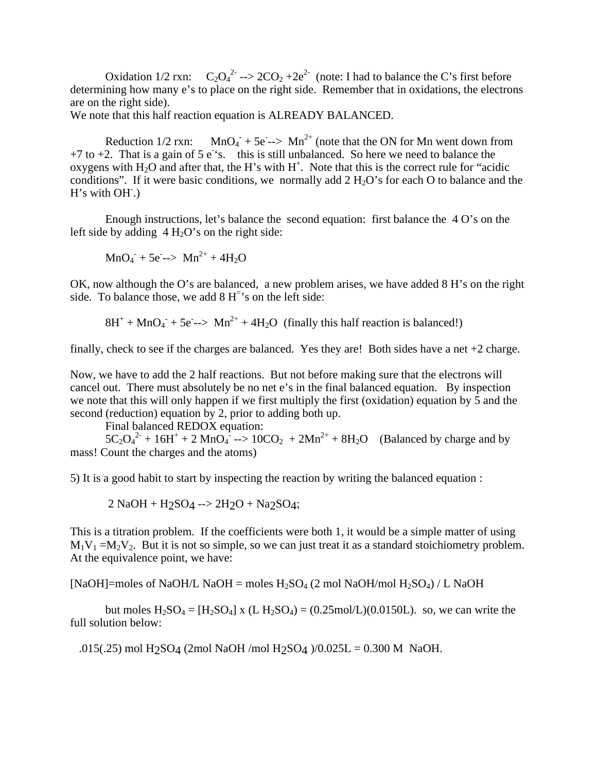Oxidation 1/2 rxn:  $C_2O_4^{2} \rightarrow 2CO_2 + 2e^{2}$  (note: I had to balance the C's first before determining how many e's to place on the right side. Remember that in oxidations, the electrons are on the right side).

We note that this half reaction equation is ALREADY BALANCED.

Reduction  $1/2$  rxn:  $- + 5e \rightarrow Mn^{2+}$  (note that the ON for Mn went down from  $+7$  to  $+2$ . That is a gain of 5 e<sup>t</sup>s. this is still unbalanced. So here we need to balance the oxygens with  $H_2O$  and after that, the H's with  $H^+$ . Note that this is the correct rule for "acidic conditions". If it were basic conditions, we normally add  $2 H<sub>2</sub>O$ 's for each O to balance and the H's with OH.)

 Enough instructions, let's balance the second equation: first balance the 4 O's on the left side by adding  $4 H<sub>2</sub>O's$  on the right side:

$$
MnO_4 + 5e^- >> Mn^{2+} + 4H_2O
$$

OK, now although the O's are balanced, a new problem arises, we have added 8 H's on the right side. To balance those, we add  $8 H^{-3}$  s on the left side:

 $8H^+ + MnO_4^- + 5e^- >> Mn^{2+} + 4H_2O$  (finally this half reaction is balanced!)

finally, check to see if the charges are balanced. Yes they are! Both sides have a net +2 charge.

Now, we have to add the 2 half reactions. But not before making sure that the electrons will cancel out. There must absolutely be no net e's in the final balanced equation. By inspection we note that this will only happen if we first multiply the first (oxidation) equation by 5 and the second (reduction) equation by 2, prior to adding both up.

Final balanced REDOX equation:

 $5C_2O_4^2$  + 16H<sup>+</sup> + 2 MnO<sub>4</sub><sup>2</sup> --> 10CO<sub>2</sub> + 2Mn<sup>2+</sup> + 8H<sub>2</sub>O (Balanced by charge and by mass! Count the charges and the atoms)

5) It is a good habit to start by inspecting the reaction by writing the balanced equation :

 $2$  NaOH + H<sub>2</sub>SO<sub>4</sub> -->  $2H_2O$  + Na<sub>2</sub>SO<sub>4</sub>;

This is a titration problem. If the coefficients were both 1, it would be a simple matter of using  $M_1V_1 = M_2V_2$ . But it is not so simple, so we can just treat it as a standard stoichiometry problem. At the equivalence point, we have:

[NaOH]=moles of NaOH/L NaOH = moles  $H_2SO_4$  (2 mol NaOH/mol  $H_2SO_4$ ) / L NaOH

but moles  $H_2SO_4 = [H_2SO_4]$  x (L  $H_2SO_4 = (0.25 \text{mol/L})(0.0150 \text{L})$ . so, we can write the full solution below:

.015(.25) mol H2SO4 (2mol NaOH /mol H2SO4 )/0.025L = 0.300 M NaOH.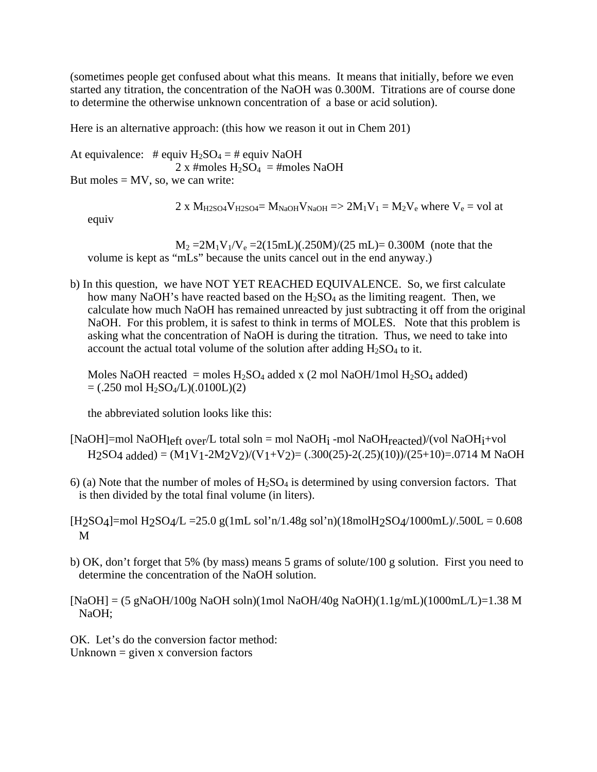(sometimes people get confused about what this means. It means that initially, before we even started any titration, the concentration of the NaOH was 0.300M. Titrations are of course done to determine the otherwise unknown concentration of a base or acid solution).

Here is an alternative approach: (this how we reason it out in Chem 201)

At equivalence: # equiv  $H_2SO_4 = \#$  equiv NaOH  $2 \times$ #moles H<sub>2</sub>SO<sub>4</sub> = #moles NaOH But moles  $= MV$ , so, we can write:

2 x  $M_{H2SO4}V_{H2SO4} = M_{NaOH}V_{NaOH} \Rightarrow 2M_1V_1 = M_2V_e$  where  $V_e = vol$  at

equiv

 $M_2 = 2M_1V_1/V_e = 2(15mL)(.250M)/(25 mL) = 0.300M$  (note that the volume is kept as "mLs" because the units cancel out in the end anyway.)

b) In this question, we have NOT YET REACHED EQUIVALENCE. So, we first calculate how many NaOH's have reacted based on the  $H_2SO_4$  as the limiting reagent. Then, we calculate how much NaOH has remained unreacted by just subtracting it off from the original NaOH. For this problem, it is safest to think in terms of MOLES. Note that this problem is asking what the concentration of NaOH is during the titration. Thus, we need to take into account the actual total volume of the solution after adding  $H_2SO_4$  to it.

Moles NaOH reacted = moles  $H_2SO_4$  added x (2 mol NaOH/1mol  $H_2SO_4$  added)  $= (.250 \text{ mol H}_2\text{SO}_4/L)(.0100L)(2)$ 

the abbreviated solution looks like this:

- [NaOH]=mol NaOH $_{left\,overline{0}$  total soln = mol NaOH<sub>i</sub> -mol NaOH $_{reacted}$ )/(vol NaOH<sub>i</sub>+vol  $H2SO4$  added) =  $(M1V1-2M2V2)/(V1+V2)$  = (.300(25)-2(.25)(10))/(25+10)=.0714 M NaOH
- 6) (a) Note that the number of moles of  $H_2SO_4$  is determined by using conversion factors. That is then divided by the total final volume (in liters).
- $[H2SO4] = mol H2SO4/L = 25.0 g(1mL sol'n/1.48g sol'n/(18molH2SO4/1000mL)/.500L = 0.608$ M
- b) OK, don't forget that 5% (by mass) means 5 grams of solute/100 g solution. First you need to determine the concentration of the NaOH solution.

 $[NaOH] = (5 gNaOH/100g NaOH soln)(1mol NaOH/40g NaOH)(1.1g/mL)(1000mL/L)=1.38 M$ NaOH;

OK. Let's do the conversion factor method: Unknown  $=$  given x conversion factors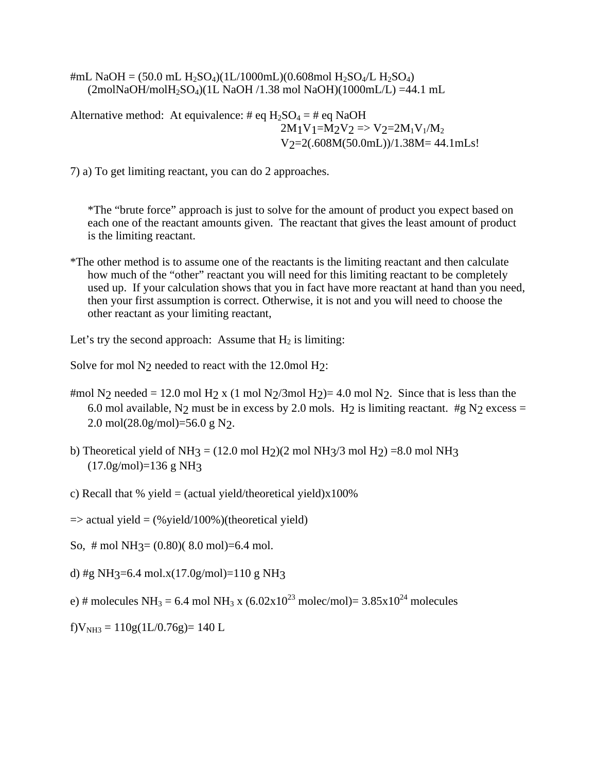#mL NaOH =  $(50.0 \text{ mL H}_2\text{SO}_4)(1\text{L}/1000\text{mL})(0.608\text{mol H}_2\text{SO}_4/\text{L H}_2\text{SO}_4)$  $(2 \text{mol} \text{NaOH} / \text{mol} \text{H}_2 \text{SO}_4)(1 \text{L NaOH}/1.38 \text{ mol NaOH})(1000 \text{mL/L}) = 44.1 \text{ mL}$ 

Alternative method: At equivalence: # eq  $H_2SO_4 = \#$  eq NaOH  $2M_1V_1=M_2V_2 \Rightarrow V_2=2M_1V_1/M_2$ V2=2(.608M(50.0mL))/1.38M= 44.1mLs!

7) a) To get limiting reactant, you can do 2 approaches.

\*The "brute force" approach is just to solve for the amount of product you expect based on each one of the reactant amounts given. The reactant that gives the least amount of product is the limiting reactant.

\*The other method is to assume one of the reactants is the limiting reactant and then calculate how much of the "other" reactant you will need for this limiting reactant to be completely used up. If your calculation shows that you in fact have more reactant at hand than you need, then your first assumption is correct. Otherwise, it is not and you will need to choose the other reactant as your limiting reactant,

Let's try the second approach: Assume that  $H_2$  is limiting:

Solve for mol N<sub>2</sub> needed to react with the 12.0mol H<sub>2</sub>:

- #mol N<sub>2</sub> needed = 12.0 mol H<sub>2</sub> x (1 mol N<sub>2</sub>/3mol H<sub>2</sub>)= 4.0 mol N<sub>2</sub>. Since that is less than the 6.0 mol available, N<sub>2</sub> must be in excess by 2.0 mols. H<sub>2</sub> is limiting reactant. #g N<sub>2</sub> excess = 2.0 mol(28.0g/mol)=56.0 g N2.
- b) Theoretical yield of NH<sub>3</sub> = (12.0 mol H<sub>2</sub>)(2 mol NH<sub>3</sub>/3 mol H<sub>2</sub>) = 8.0 mol NH<sub>3</sub> (17.0g/mol)=136 g NH3
- c) Recall that % yield  $=$  (actual yield/theoretical yield)x100%

 $\Rightarrow$  actual yield = (% yield/100%)(theoretical yield)

So,  $\#$  mol NH<sub>3</sub> = (0.80)(8.0 mol) = 6.4 mol.

d) #g NH3=6.4 mol.x(17.0g/mol)=110 g NH3

e) # molecules NH<sub>3</sub> = 6.4 mol NH<sub>3</sub> x (6.02x10<sup>23</sup> molec/mol)= 3.85x10<sup>24</sup> molecules

 $f$ V<sub>NH3</sub> = 110g(1L/0.76g)= 140 L